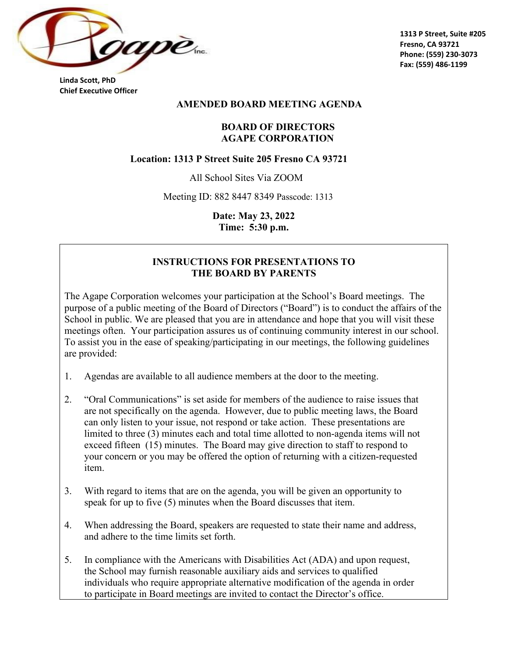

**Linda Scott, PhD Chief Executive Officer** 

#### **AMENDED BOARD MEETING AGENDA**

### **BOARD OF DIRECTORS AGAPE CORPORATION**

#### **Location: 1313 P Street Suite 205 Fresno CA 93721**

All School Sites Via ZOOM

Meeting ID: 882 8447 8349 Passcode: 1313

**Date: May 23, 2022 Time: 5:30 p.m.** 

#### **INSTRUCTIONS FOR PRESENTATIONS TO THE BOARD BY PARENTS**

The Agape Corporation welcomes your participation at the School's Board meetings. The purpose of a public meeting of the Board of Directors ("Board") is to conduct the affairs of the School in public. We are pleased that you are in attendance and hope that you will visit these meetings often. Your participation assures us of continuing community interest in our school. To assist you in the ease of speaking/participating in our meetings, the following guidelines are provided:

- 1. Agendas are available to all audience members at the door to the meeting.
- 2. "Oral Communications" is set aside for members of the audience to raise issues that are not specifically on the agenda. However, due to public meeting laws, the Board can only listen to your issue, not respond or take action. These presentations are limited to three (3) minutes each and total time allotted to non-agenda items will not exceed fifteen (15) minutes. The Board may give direction to staff to respond to your concern or you may be offered the option of returning with a citizen-requested item.
- 3. With regard to items that are on the agenda, you will be given an opportunity to speak for up to five (5) minutes when the Board discusses that item.
- 4. When addressing the Board, speakers are requested to state their name and address, and adhere to the time limits set forth.
- 5. In compliance with the Americans with Disabilities Act (ADA) and upon request, the School may furnish reasonable auxiliary aids and services to qualified individuals who require appropriate alternative modification of the agenda in order to participate in Board meetings are invited to contact the Director's office.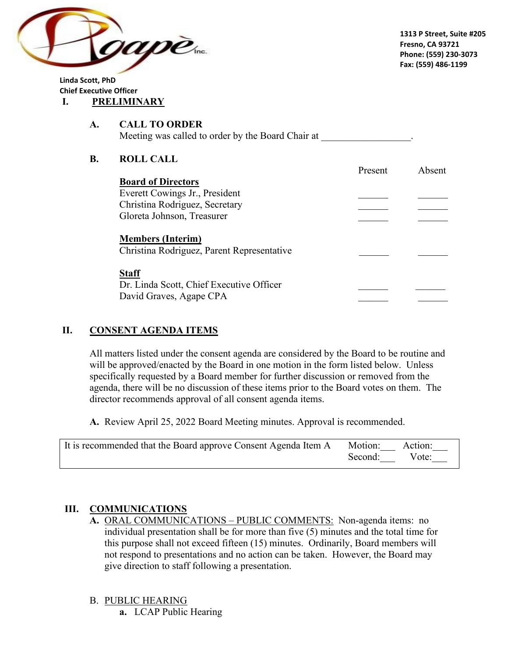

**Linda Scott, PhD Chief Executive Officer I. PRELIMINARY**

#### **A. CALL TO ORDER** Meeting was called to order by the Board Chair at

## **B. ROLL CALL**

|                                                                        | Present | Absent |
|------------------------------------------------------------------------|---------|--------|
| <b>Board of Directors</b>                                              |         |        |
| Everett Cowings Jr., President                                         |         |        |
| Christina Rodriguez, Secretary                                         |         |        |
| Gloreta Johnson, Treasurer                                             |         |        |
| <b>Members (Interim)</b><br>Christina Rodriguez, Parent Representative |         |        |
| <b>Staff</b>                                                           |         |        |
| Dr. Linda Scott, Chief Executive Officer<br>David Graves, Agape CPA    |         |        |

# **II. CONSENT AGENDA ITEMS**

All matters listed under the consent agenda are considered by the Board to be routine and will be approved/enacted by the Board in one motion in the form listed below. Unless specifically requested by a Board member for further discussion or removed from the agenda, there will be no discussion of these items prior to the Board votes on them. The director recommends approval of all consent agenda items.

**A.** Review April 25, 2022 Board Meeting minutes. Approval is recommended.

| It is recommended that the Board approve Consent Agenda Item A | Motion: Action: |       |
|----------------------------------------------------------------|-----------------|-------|
|                                                                | Second:         | Vote: |

## **III. COMMUNICATIONS**

**A.** ORAL COMMUNICATIONS – PUBLIC COMMENTS: Non-agenda items: no individual presentation shall be for more than five (5) minutes and the total time for this purpose shall not exceed fifteen (15) minutes. Ordinarily, Board members will not respond to presentations and no action can be taken. However, the Board may give direction to staff following a presentation.

### B. PUBLIC HEARING

**a.** LCAP Public Hearing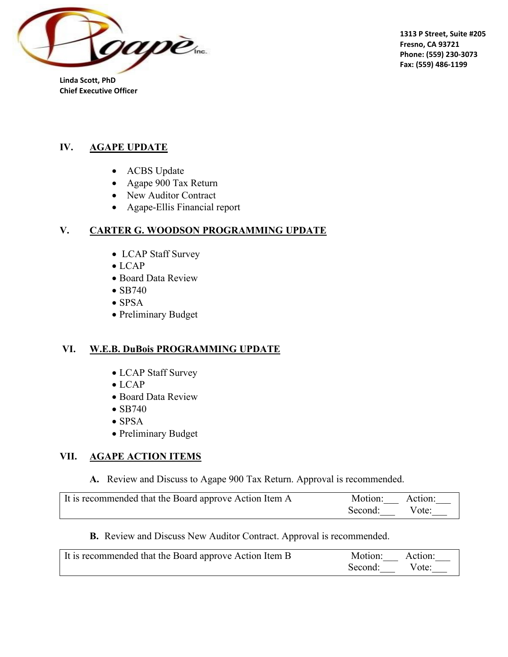

**Linda Scott, PhD Chief Executive Officer** 

## **IV. AGAPE UPDATE**

- ACBS Update
- Agape 900 Tax Return
- New Auditor Contract
- Agape-Ellis Financial report

## **V. CARTER G. WOODSON PROGRAMMING UPDATE**

- LCAP Staff Survey
- LCAP
- Board Data Review
- SB740
- SPSA
- Preliminary Budget

## **VI. W.E.B. DuBois PROGRAMMING UPDATE**

- LCAP Staff Survey
- LCAP
- Board Data Review
- SB740
- SPSA
- Preliminary Budget

### **VII. AGAPE ACTION ITEMS**

**A.** Review and Discuss to Agape 900 Tax Return. Approval is recommended.

| It is recommended that the Board approve Action Item A | Motion: Action: |  |
|--------------------------------------------------------|-----------------|--|
|                                                        | Second: Vote:   |  |

**B.** Review and Discuss New Auditor Contract. Approval is recommended.

| It is recommended that the Board approve Action Item B | Motion: Action: |       |
|--------------------------------------------------------|-----------------|-------|
|                                                        | Second:         | Vote: |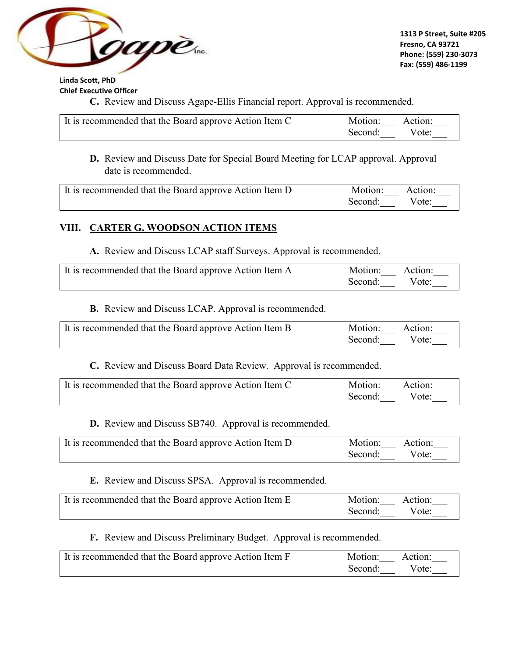

**Linda Scott, PhD Chief Executive Officer** 

**C.** Review and Discuss Agape-Ellis Financial report. Approval is recommended.

| It is recommended that the Board approve Action Item C | Motion: Action: |       |
|--------------------------------------------------------|-----------------|-------|
|                                                        | Second:         | Vote: |

**D.** Review and Discuss Date for Special Board Meeting for LCAP approval. Approval date is recommended.

| It is recommended that the Board approve Action Item D | Motion: Action: |  |
|--------------------------------------------------------|-----------------|--|
|                                                        | Second: Vote:   |  |

### **VIII. CARTER G. WOODSON ACTION ITEMS**

**A.** Review and Discuss LCAP staff Surveys. Approval is recommended.

| It is recommended that the Board approve Action Item A | Motion: Action: |       |
|--------------------------------------------------------|-----------------|-------|
|                                                        | Second:         | Vote: |

**B.** Review and Discuss LCAP. Approval is recommended.

| It is recommended that the Board approve Action Item B | Motion: Action: |  |
|--------------------------------------------------------|-----------------|--|
|                                                        | Second: Vote:   |  |

**C.** Review and Discuss Board Data Review. Approval is recommended.

| It is recommended that the Board approve Action Item C | Motion: Action: |  |
|--------------------------------------------------------|-----------------|--|
|                                                        | Second: Vote:   |  |

**D.** Review and Discuss SB740. Approval is recommended.

| It is recommended that the Board approve Action Item D | Motion: Action: |  |
|--------------------------------------------------------|-----------------|--|
|                                                        | Second: Vote:   |  |

**E.** Review and Discuss SPSA. Approval is recommended.

| It is recommended that the Board approve Action Item E | Motion: Action: |  |
|--------------------------------------------------------|-----------------|--|
|                                                        | Second: Vote:   |  |

**F.** Review and Discuss Preliminary Budget. Approval is recommended.

| It is recommended that the Board approve Action Item F | Motion: Action: |       |
|--------------------------------------------------------|-----------------|-------|
|                                                        | Second:         | Vote: |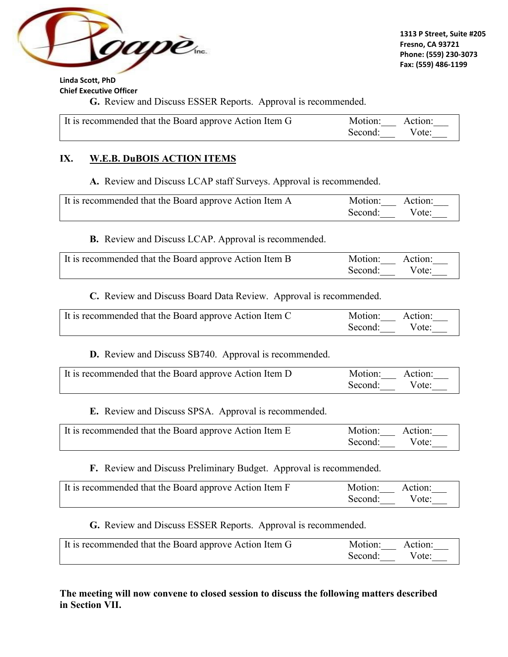

**Linda Scott, PhD Chief Executive Officer** 

**G.** Review and Discuss ESSER Reports. Approval is recommended.

| It is recommended that the Board approve Action Item G | Motion: Action: |       |
|--------------------------------------------------------|-----------------|-------|
|                                                        | Second:         | Vote: |

### **IX. W.E.B. DuBOIS ACTION ITEMS**

**A.** Review and Discuss LCAP staff Surveys. Approval is recommended.

| It is recommended that the Board approve Action Item A | Motion: Action: |       |
|--------------------------------------------------------|-----------------|-------|
|                                                        | Second:         | Vote: |

**B.** Review and Discuss LCAP. Approval is recommended.

| It is recommended that the Board approve Action Item B | Motion: Action: |  |
|--------------------------------------------------------|-----------------|--|
|                                                        | Second: Vote:   |  |

**C.** Review and Discuss Board Data Review. Approval is recommended.

| It is recommended that the Board approve Action Item C | Motion: Action: |  |
|--------------------------------------------------------|-----------------|--|
|                                                        | Second: Vote:   |  |

**D.** Review and Discuss SB740. Approval is recommended.

| It is recommended that the Board approve Action Item D | Motion: Action: |  |
|--------------------------------------------------------|-----------------|--|
|                                                        | Second: Vote:   |  |

**E.** Review and Discuss SPSA. Approval is recommended.

| It is recommended that the Board approve Action Item E | Motion: Action: |       |
|--------------------------------------------------------|-----------------|-------|
|                                                        | Second:         | Vote: |

**F.** Review and Discuss Preliminary Budget. Approval is recommended.

| It is recommended that the Board approve Action Item F | Motion: Action:  |
|--------------------------------------------------------|------------------|
|                                                        | Second:<br>Vote: |

**G.** Review and Discuss ESSER Reports. Approval is recommended.

| It is recommended that the Board approve Action Item G | Motion: Action: |  |
|--------------------------------------------------------|-----------------|--|
|                                                        | Second: Vote:   |  |

**The meeting will now convene to closed session to discuss the following matters described in Section VII.**